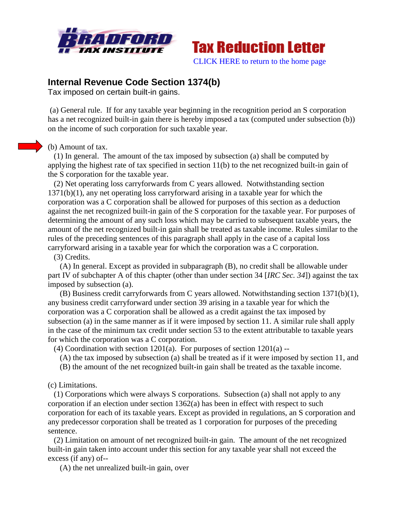



## **Internal Revenue Code Section 1374(b)**

Tax imposed on certain built-in gains.

(a) General rule. If for any taxable year beginning in the recognition period an S corporation has a net recognized built-in gain there is hereby imposed a tax (computed under subsection (b)) on the income of such corporation for such taxable year.

(b) Amount of tax.

 (1) In general. The amount of the tax imposed by subsection (a) shall be computed by applying the highest rate of tax specified in section 11(b) to the net recognized built-in gain of the S corporation for the taxable year.

 (2) Net operating loss carryforwards from C years allowed. Notwithstanding section 1371(b)(1), any net operating loss carryforward arising in a taxable year for which the corporation was a C corporation shall be allowed for purposes of this section as a deduction against the net recognized built-in gain of the S corporation for the taxable year. For purposes of determining the amount of any such loss which may be carried to subsequent taxable years, the amount of the net recognized built-in gain shall be treated as taxable income. Rules similar to the rules of the preceding sentences of this paragraph shall apply in the case of a capital loss carryforward arising in a taxable year for which the corporation was a C corporation.

(3) Credits.

 (A) In general. Except as provided in subparagraph (B), no credit shall be allowable under part IV of subchapter A of this chapter (other than under section 34 [*IRC Sec. 34*]) against the tax imposed by subsection (a).

 (B) Business credit carryforwards from C years allowed. Notwithstanding section 1371(b)(1), any business credit carryforward under section 39 arising in a taxable year for which the corporation was a C corporation shall be allowed as a credit against the tax imposed by subsection (a) in the same manner as if it were imposed by section 11. A similar rule shall apply in the case of the minimum tax credit under section 53 to the extent attributable to taxable years for which the corporation was a C corporation.

(4) Coordination with section 1201(a). For purposes of section 1201(a) --

- (A) the tax imposed by subsection (a) shall be treated as if it were imposed by section 11, and
- (B) the amount of the net recognized built-in gain shall be treated as the taxable income.

(c) Limitations.

 (1) Corporations which were always S corporations. Subsection (a) shall not apply to any corporation if an election under section 1362(a) has been in effect with respect to such corporation for each of its taxable years. Except as provided in regulations, an S corporation and any predecessor corporation shall be treated as 1 corporation for purposes of the preceding sentence.

 (2) Limitation on amount of net recognized built-in gain. The amount of the net recognized built-in gain taken into account under this section for any taxable year shall not exceed the excess (if any) of--

(A) the net unrealized built-in gain, over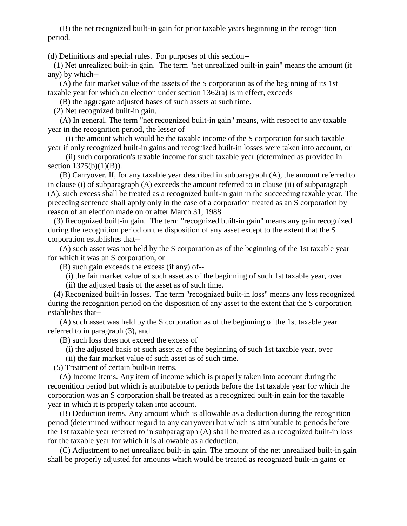(B) the net recognized built-in gain for prior taxable years beginning in the recognition period.

(d) Definitions and special rules. For purposes of this section--

 (1) Net unrealized built-in gain. The term "net unrealized built-in gain" means the amount (if any) by which--

 (A) the fair market value of the assets of the S corporation as of the beginning of its 1st taxable year for which an election under section 1362(a) is in effect, exceeds

(B) the aggregate adjusted bases of such assets at such time.

(2) Net recognized built-in gain.

 (A) In general. The term "net recognized built-in gain" means, with respect to any taxable year in the recognition period, the lesser of

 (i) the amount which would be the taxable income of the S corporation for such taxable year if only recognized built-in gains and recognized built-in losses were taken into account, or

 (ii) such corporation's taxable income for such taxable year (determined as provided in section 1375(b)(1)(B)).

 (B) Carryover. If, for any taxable year described in subparagraph (A), the amount referred to in clause (i) of subparagraph (A) exceeds the amount referred to in clause (ii) of subparagraph (A), such excess shall be treated as a recognized built-in gain in the succeeding taxable year. The preceding sentence shall apply only in the case of a corporation treated as an S corporation by reason of an election made on or after March 31, 1988.

 (3) Recognized built-in gain. The term "recognized built-in gain" means any gain recognized during the recognition period on the disposition of any asset except to the extent that the S corporation establishes that--

 (A) such asset was not held by the S corporation as of the beginning of the 1st taxable year for which it was an S corporation, or

(B) such gain exceeds the excess (if any) of--

(i) the fair market value of such asset as of the beginning of such 1st taxable year, over

(ii) the adjusted basis of the asset as of such time.

 (4) Recognized built-in losses. The term "recognized built-in loss" means any loss recognized during the recognition period on the disposition of any asset to the extent that the S corporation establishes that--

 (A) such asset was held by the S corporation as of the beginning of the 1st taxable year referred to in paragraph (3), and

(B) such loss does not exceed the excess of

(i) the adjusted basis of such asset as of the beginning of such 1st taxable year, over

(ii) the fair market value of such asset as of such time.

(5) Treatment of certain built-in items.

 (A) Income items. Any item of income which is properly taken into account during the recognition period but which is attributable to periods before the 1st taxable year for which the corporation was an S corporation shall be treated as a recognized built-in gain for the taxable year in which it is properly taken into account.

 (B) Deduction items. Any amount which is allowable as a deduction during the recognition period (determined without regard to any carryover) but which is attributable to periods before the 1st taxable year referred to in subparagraph (A) shall be treated as a recognized built-in loss for the taxable year for which it is allowable as a deduction.

 (C) Adjustment to net unrealized built-in gain. The amount of the net unrealized built-in gain shall be properly adjusted for amounts which would be treated as recognized built-in gains or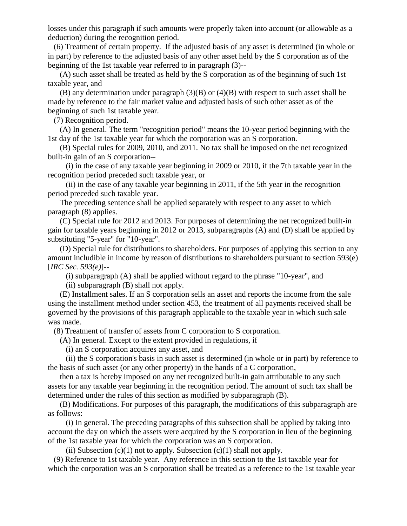losses under this paragraph if such amounts were properly taken into account (or allowable as a deduction) during the recognition period.

 (6) Treatment of certain property. If the adjusted basis of any asset is determined (in whole or in part) by reference to the adjusted basis of any other asset held by the S corporation as of the beginning of the 1st taxable year referred to in paragraph (3)--

 (A) such asset shall be treated as held by the S corporation as of the beginning of such 1st taxable year, and

 (B) any determination under paragraph (3)(B) or (4)(B) with respect to such asset shall be made by reference to the fair market value and adjusted basis of such other asset as of the beginning of such 1st taxable year.

(7) Recognition period.

 (A) In general. The term "recognition period" means the 10-year period beginning with the 1st day of the 1st taxable year for which the corporation was an S corporation.

 (B) Special rules for 2009, 2010, and 2011. No tax shall be imposed on the net recognized built-in gain of an S corporation--

 (i) in the case of any taxable year beginning in 2009 or 2010, if the 7th taxable year in the recognition period preceded such taxable year, or

 (ii) in the case of any taxable year beginning in 2011, if the 5th year in the recognition period preceded such taxable year.

 The preceding sentence shall be applied separately with respect to any asset to which paragraph (8) applies.

 (C) Special rule for 2012 and 2013. For purposes of determining the net recognized built-in gain for taxable years beginning in 2012 or 2013, subparagraphs (A) and (D) shall be applied by substituting "5-year" for "10-year".

 (D) Special rule for distributions to shareholders. For purposes of applying this section to any amount includible in income by reason of distributions to shareholders pursuant to section 593(e) [*IRC Sec. 593(e)*]--

(i) subparagraph (A) shall be applied without regard to the phrase "10-year", and

(ii) subparagraph (B) shall not apply.

 (E) Installment sales. If an S corporation sells an asset and reports the income from the sale using the installment method under section 453, the treatment of all payments received shall be governed by the provisions of this paragraph applicable to the taxable year in which such sale was made.

(8) Treatment of transfer of assets from C corporation to S corporation.

(A) In general. Except to the extent provided in regulations, if

(i) an S corporation acquires any asset, and

 (ii) the S corporation's basis in such asset is determined (in whole or in part) by reference to the basis of such asset (or any other property) in the hands of a C corporation,

 then a tax is hereby imposed on any net recognized built-in gain attributable to any such assets for any taxable year beginning in the recognition period. The amount of such tax shall be determined under the rules of this section as modified by subparagraph (B).

 (B) Modifications. For purposes of this paragraph, the modifications of this subparagraph are as follows:

 (i) In general. The preceding paragraphs of this subsection shall be applied by taking into account the day on which the assets were acquired by the S corporation in lieu of the beginning of the 1st taxable year for which the corporation was an S corporation.

(ii) Subsection  $(c)(1)$  not to apply. Subsection  $(c)(1)$  shall not apply.

 (9) Reference to 1st taxable year. Any reference in this section to the 1st taxable year for which the corporation was an S corporation shall be treated as a reference to the 1st taxable year